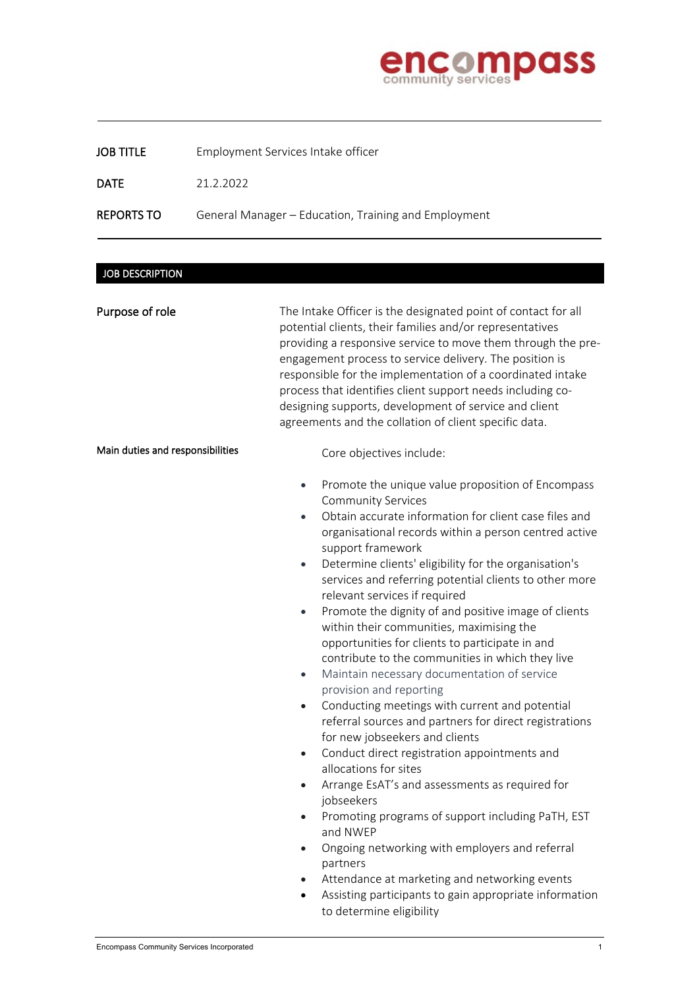

| <b>JOB TITLE</b> | Employment Services Intake officer |
|------------------|------------------------------------|
|------------------|------------------------------------|

DATE 21.2.2022

REPORTS TO General Manager - Education, Training and Employment

## JOB DESCRIPTION

j

| Purpose of role                  | The Intake Officer is the designated point of contact for all<br>potential clients, their families and/or representatives<br>providing a responsive service to move them through the pre-<br>engagement process to service delivery. The position is<br>responsible for the implementation of a coordinated intake<br>process that identifies client support needs including co-<br>designing supports, development of service and client<br>agreements and the collation of client specific data.                                                                                                                                                                                                                                                                                                                                                                                                                                                                                                                                                                                                                                                                                                                                                                                                                                  |  |  |
|----------------------------------|-------------------------------------------------------------------------------------------------------------------------------------------------------------------------------------------------------------------------------------------------------------------------------------------------------------------------------------------------------------------------------------------------------------------------------------------------------------------------------------------------------------------------------------------------------------------------------------------------------------------------------------------------------------------------------------------------------------------------------------------------------------------------------------------------------------------------------------------------------------------------------------------------------------------------------------------------------------------------------------------------------------------------------------------------------------------------------------------------------------------------------------------------------------------------------------------------------------------------------------------------------------------------------------------------------------------------------------|--|--|
| Main duties and responsibilities | Core objectives include:                                                                                                                                                                                                                                                                                                                                                                                                                                                                                                                                                                                                                                                                                                                                                                                                                                                                                                                                                                                                                                                                                                                                                                                                                                                                                                            |  |  |
|                                  | Promote the unique value proposition of Encompass<br>$\bullet$<br><b>Community Services</b><br>Obtain accurate information for client case files and<br>$\bullet$<br>organisational records within a person centred active<br>support framework<br>Determine clients' eligibility for the organisation's<br>$\bullet$<br>services and referring potential clients to other more<br>relevant services if required<br>Promote the dignity of and positive image of clients<br>within their communities, maximising the<br>opportunities for clients to participate in and<br>contribute to the communities in which they live<br>Maintain necessary documentation of service<br>$\bullet$<br>provision and reporting<br>Conducting meetings with current and potential<br>$\bullet$<br>referral sources and partners for direct registrations<br>for new jobseekers and clients<br>Conduct direct registration appointments and<br>$\bullet$<br>allocations for sites<br>Arrange EsAT's and assessments as required for<br>$\bullet$<br>jobseekers<br>Promoting programs of support including PaTH, EST<br>and NWEP<br>Ongoing networking with employers and referral<br>partners<br>Attendance at marketing and networking events<br>Assisting participants to gain appropriate information<br>$\bullet$<br>to determine eligibility |  |  |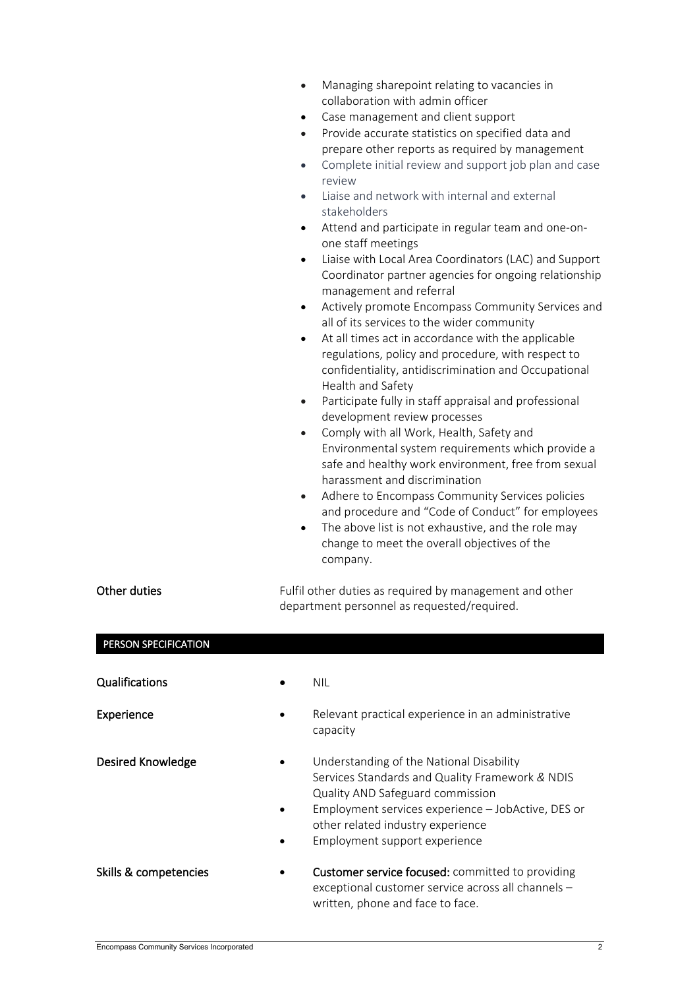| Managing sharepoint relating to vacancies in |
|----------------------------------------------|
| collaboration with admin officer             |

- Case management and client support
- Provide accurate statistics on specified data and prepare other reports as required by management
- Complete initial review and support job plan and case review
- Liaise and network with internal and external stakeholders
- Attend and participate in regular team and one-onone staff meetings
- Liaise with Local Area Coordinators (LAC) and Support Coordinator partner agencies for ongoing relationship management and referral
- Actively promote Encompass Community Services and all of its services to the wider community
- At all times act in accordance with the applicable regulations, policy and procedure, with respect to confidentiality, antidiscrimination and Occupational Health and Safety
- Participate fully in staff appraisal and professional development review processes
- Comply with all Work, Health, Safety and Environmental system requirements which provide a safe and healthy work environment, free from sexual harassment and discrimination
- Adhere to Encompass Community Services policies and procedure and "Code of Conduct" for employees
- The above list is not exhaustive, and the role may change to meet the overall objectives of the company.

exceptional customer service across all channels –

written, phone and face to face.

| Other duties          | Fulfil other duties as required by management and other<br>department personnel as requested/required. |                                                                                                                                                                                                                                                             |  |
|-----------------------|--------------------------------------------------------------------------------------------------------|-------------------------------------------------------------------------------------------------------------------------------------------------------------------------------------------------------------------------------------------------------------|--|
| PERSON SPECIFICATION  |                                                                                                        |                                                                                                                                                                                                                                                             |  |
| Qualifications        |                                                                                                        | <b>NIL</b>                                                                                                                                                                                                                                                  |  |
| Experience            |                                                                                                        | Relevant practical experience in an administrative<br>capacity                                                                                                                                                                                              |  |
| Desired Knowledge     |                                                                                                        | Understanding of the National Disability<br>Services Standards and Quality Framework & NDIS<br>Quality AND Safeguard commission<br>Employment services experience - JobActive, DES or<br>other related industry experience<br>Employment support experience |  |
| Skills & competencies |                                                                                                        | <b>Customer service focused:</b> committed to providing                                                                                                                                                                                                     |  |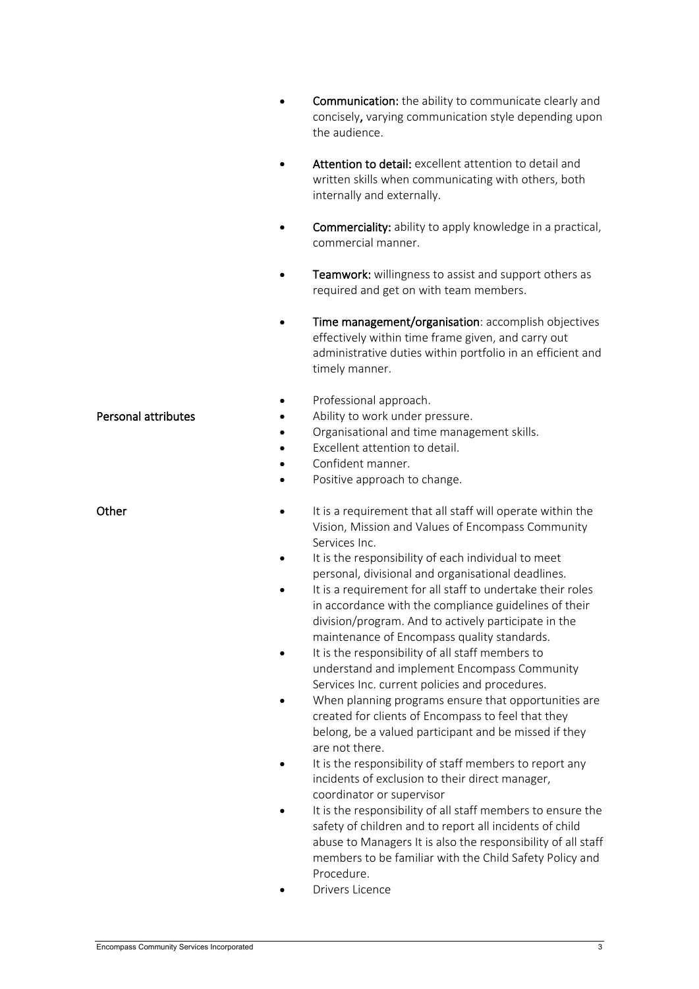|                     | <b>Communication:</b> the ability to communicate clearly and<br>concisely, varying communication style depending upon<br>the audience.                                                                                                                                                                                                  |
|---------------------|-----------------------------------------------------------------------------------------------------------------------------------------------------------------------------------------------------------------------------------------------------------------------------------------------------------------------------------------|
|                     | Attention to detail: excellent attention to detail and<br>written skills when communicating with others, both<br>internally and externally.                                                                                                                                                                                             |
|                     | Commerciality: ability to apply knowledge in a practical,<br>commercial manner.                                                                                                                                                                                                                                                         |
|                     | Teamwork: willingness to assist and support others as<br>required and get on with team members.                                                                                                                                                                                                                                         |
|                     | Time management/organisation: accomplish objectives<br>effectively within time frame given, and carry out<br>administrative duties within portfolio in an efficient and<br>timely manner.                                                                                                                                               |
| Personal attributes | Professional approach.<br>Ability to work under pressure.<br>Organisational and time management skills.<br>Excellent attention to detail.<br>Confident manner.                                                                                                                                                                          |
| Other               | Positive approach to change.<br>It is a requirement that all staff will operate within the<br>Vision, Mission and Values of Encompass Community<br>Services Inc.                                                                                                                                                                        |
|                     | It is the responsibility of each individual to meet<br>personal, divisional and organisational deadlines.<br>It is a requirement for all staff to undertake their roles<br>in accordance with the compliance guidelines of their<br>division/program. And to actively participate in the<br>maintenance of Encompass quality standards. |
|                     | It is the responsibility of all staff members to<br>understand and implement Encompass Community<br>Services Inc. current policies and procedures.<br>When planning programs ensure that opportunities are<br>created for clients of Encompass to feel that they<br>belong, be a valued participant and be missed if they               |
|                     | are not there.<br>It is the responsibility of staff members to report any<br>incidents of exclusion to their direct manager,<br>coordinator or supervisor                                                                                                                                                                               |
|                     | It is the responsibility of all staff members to ensure the<br>safety of children and to report all incidents of child<br>abuse to Managers It is also the responsibility of all staff<br>members to be familiar with the Child Safety Policy and                                                                                       |

Procedure. • Drivers Licence